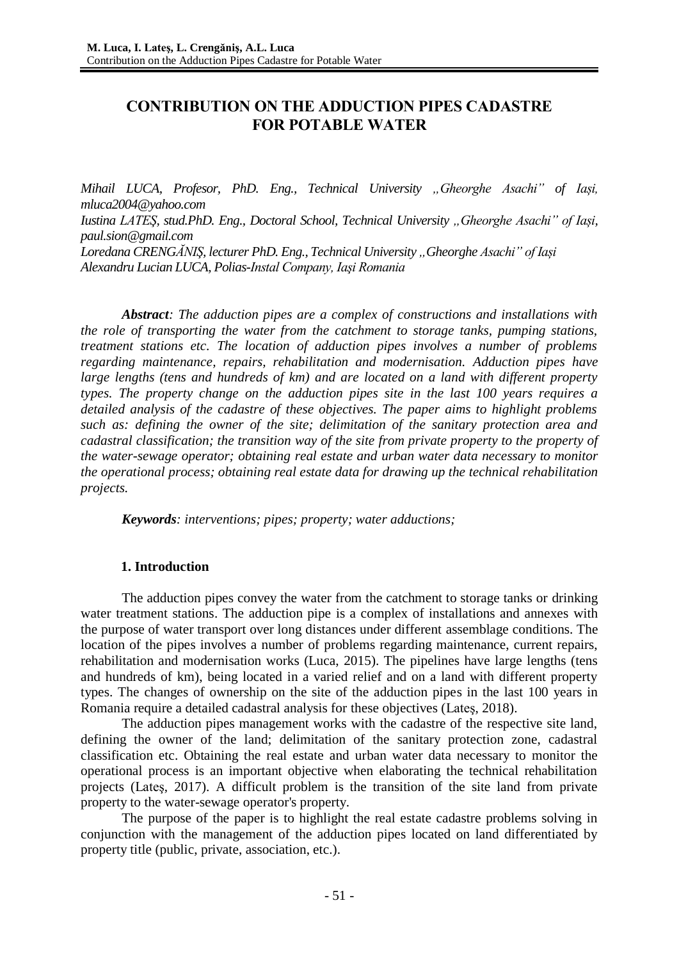# **CONTRIBUTION ON THE ADDUCTION PIPES CADASTRE FOR POTABLE WATER**

*Mihail LUCA, Profesor, PhD. Eng., Technical University "Gheorghe Asachi" of Iași, [mluca2004@yahoo.com](mailto:mluca2004@yahoo.com) Iustina LATES, stud.PhD. Eng., Doctoral School, Technical University "Gheorghe Asachi" of Iasi, paul.sion@gmail.com Loredana CRENGĂNIŞ, lecturer PhD. Eng., Technical University "Gheorghe Asachi" of Iași Alexandru Lucian LUCA, Polias-Instal Company, Iaşi Romania* 

*Abstract: The adduction pipes are a complex of constructions and installations with the role of transporting the water from the catchment to storage tanks, pumping stations, treatment stations etc. The location of adduction pipes involves a number of problems regarding maintenance, repairs, rehabilitation and modernisation. Adduction pipes have large lengths (tens and hundreds of km) and are located on a land with different property types. The property change on the adduction pipes site in the last 100 years requires a detailed analysis of the cadastre of these objectives. The paper aims to highlight problems such as: defining the owner of the site; delimitation of the sanitary protection area and cadastral classification; the transition way of the site from private property to the property of the water-sewage operator; obtaining real estate and urban water data necessary to monitor the operational process; obtaining real estate data for drawing up the technical rehabilitation projects.* 

*Keywords: interventions; pipes; property; water adductions;*

## **1. Introduction**

The adduction pipes convey the water from the catchment to storage tanks or drinking water treatment stations. The adduction pipe is a complex of installations and annexes with the purpose of water transport over long distances under different assemblage conditions. The location of the pipes involves a number of problems regarding maintenance, current repairs, rehabilitation and modernisation works (Luca, 2015). The pipelines have large lengths (tens and hundreds of km), being located in a varied relief and on a land with different property types. The changes of ownership on the site of the adduction pipes in the last 100 years in Romania require a detailed cadastral analysis for these objectives (Lateş, 2018).

The adduction pipes management works with the cadastre of the respective site land, defining the owner of the land; delimitation of the sanitary protection zone, cadastral classification etc. Obtaining the real estate and urban water data necessary to monitor the operational process is an important objective when elaborating the technical rehabilitation projects (Lateş, 2017). A difficult problem is the transition of the site land from private property to the water-sewage operator's property.

The purpose of the paper is to highlight the real estate cadastre problems solving in conjunction with the management of the adduction pipes located on land differentiated by property title (public, private, association, etc.).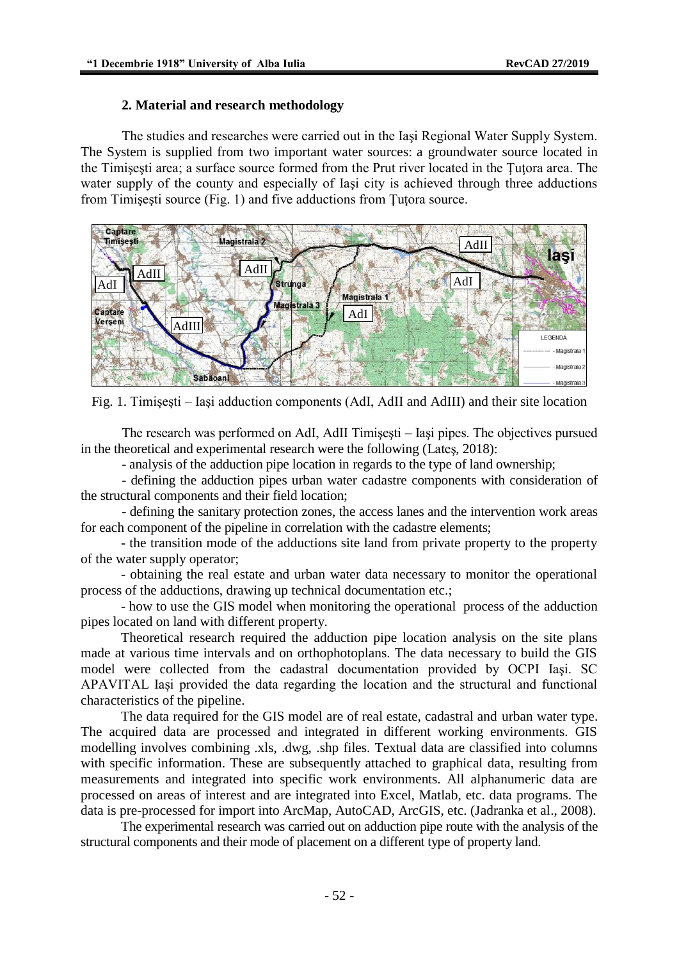## **2. Material and research methodology**

The studies and researches were carried out in the Iaşi Regional Water Supply System. The System is supplied from two important water sources: a groundwater source located in the Timişeşti area; a surface source formed from the Prut river located in the Ţuţora area. The water supply of the county and especially of Iaşi city is achieved through three adductions from Timişeşti source (Fig. 1) and five adductions from Ţuţora source.



Fig. 1. Timişeşti – Iaşi adduction components (AdI, AdII and AdIII) and their site location

The research was performed on AdI, AdII Timişeşti – Iaşi pipes. The objectives pursued in the theoretical and experimental research were the following (Lateş, 2018):

- analysis of the adduction pipe location in regards to the type of land ownership;

- defining the adduction pipes urban water cadastre components with consideration of the structural components and their field location;

- defining the sanitary protection zones, the access lanes and the intervention work areas for each component of the pipeline in correlation with the cadastre elements;

- the transition mode of the adductions site land from private property to the property of the water supply operator;

- obtaining the real estate and urban water data necessary to monitor the operational process of the adductions, drawing up technical documentation etc.;

- how to use the GIS model when monitoring the operational process of the adduction pipes located on land with different property.

Theoretical research required the adduction pipe location analysis on the site plans made at various time intervals and on orthophotoplans. The data necessary to build the GIS model were collected from the cadastral documentation provided by OCPI Iaşi. SC APAVITAL Iași provided the data regarding the location and the structural and functional characteristics of the pipeline.

The data required for the GIS model are of real estate, cadastral and urban water type. The acquired data are processed and integrated in different working environments. GIS modelling involves combining .xls, .dwg, .shp files. Textual data are classified into columns with specific information. These are subsequently attached to graphical data, resulting from measurements and integrated into specific work environments. All alphanumeric data are processed on areas of interest and are integrated into Excel, Matlab, etc. data programs. The data is pre-processed for import into ArcMap, AutoCAD, ArcGIS, etc. (Jadranka et al., 2008).

The experimental research was carried out on adduction pipe route with the analysis of the structural components and their mode of placement on a different type of property land.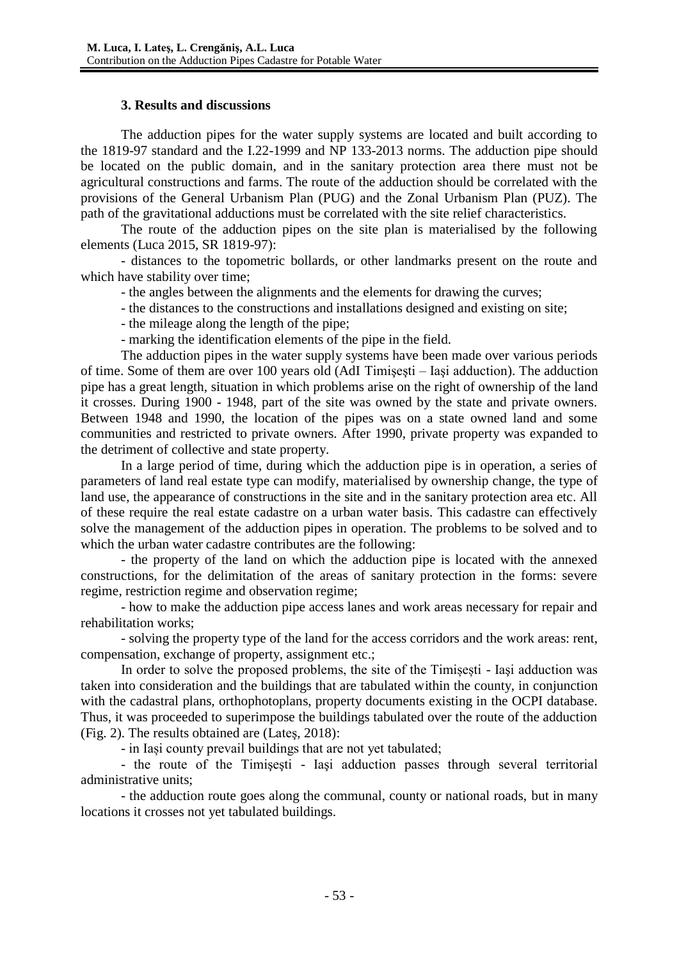## **3. Results and discussions**

The adduction pipes for the water supply systems are located and built according to the 1819-97 standard and the I.22-1999 and NP 133-2013 norms. The adduction pipe should be located on the public domain, and in the sanitary protection area there must not be agricultural constructions and farms. The route of the adduction should be correlated with the provisions of the General Urbanism Plan (PUG) and the Zonal Urbanism Plan (PUZ). The path of the gravitational adductions must be correlated with the site relief characteristics.

The route of the adduction pipes on the site plan is materialised by the following elements (Luca 2015, SR 1819-97):

- distances to the topometric bollards, or other landmarks present on the route and which have stability over time;

- the angles between the alignments and the elements for drawing the curves;
- the distances to the constructions and installations designed and existing on site;

- the mileage along the length of the pipe;

- marking the identification elements of the pipe in the field.

The adduction pipes in the water supply systems have been made over various periods of time. Some of them are over 100 years old (AdI Timişeşti – Iaşi adduction). The adduction pipe has a great length, situation in which problems arise on the right of ownership of the land it crosses. During 1900 - 1948, part of the site was owned by the state and private owners. Between 1948 and 1990, the location of the pipes was on a state owned land and some communities and restricted to private owners. After 1990, private property was expanded to the detriment of collective and state property.

In a large period of time, during which the adduction pipe is in operation, a series of parameters of land real estate type can modify, materialised by ownership change, the type of land use, the appearance of constructions in the site and in the sanitary protection area etc. All of these require the real estate cadastre on a urban water basis. This cadastre can effectively solve the management of the adduction pipes in operation. The problems to be solved and to which the urban water cadastre contributes are the following:

- the property of the land on which the adduction pipe is located with the annexed constructions, for the delimitation of the areas of sanitary protection in the forms: severe regime, restriction regime and observation regime;

- how to make the adduction pipe access lanes and work areas necessary for repair and rehabilitation works;

- solving the property type of the land for the access corridors and the work areas: rent, compensation, exchange of property, assignment etc.;

In order to solve the proposed problems, the site of the Timișești - Iaşi adduction was taken into consideration and the buildings that are tabulated within the county, in conjunction with the cadastral plans, orthophotoplans, property documents existing in the OCPI database. Thus, it was proceeded to superimpose the buildings tabulated over the route of the adduction (Fig. 2). The results obtained are (Lateş, 2018):

- in Iași county prevail buildings that are not yet tabulated;

- the route of the Timişeşti - Iaşi adduction passes through several territorial administrative units;

- the adduction route goes along the communal, county or national roads, but in many locations it crosses not yet tabulated buildings.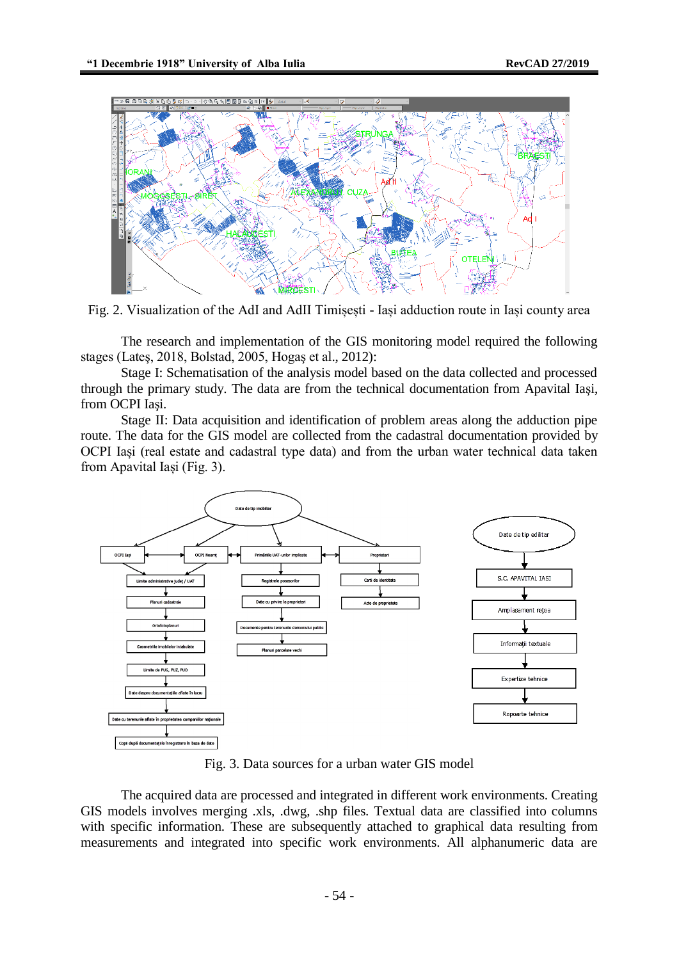

Fig. 2. Visualization of the AdI and AdII Timișești - Iași adduction route in Iași county area

The research and implementation of the GIS monitoring model required the following stages (Lateş, 2018, Bolstad, 2005, Hogaş et al., 2012):

Stage I: Schematisation of the analysis model based on the data collected and processed through the primary study. The data are from the technical documentation from Apavital Iaşi, from OCPI Iaşi.

Stage II: Data acquisition and identification of problem areas along the adduction pipe route. The data for the GIS model are collected from the cadastral documentation provided by OCPI Iași (real estate and cadastral type data) and from the urban water technical data taken from Apavital Iași (Fig. 3).



Fig. 3. Data sources for a urban water GIS model

The acquired data are processed and integrated in different work environments. Creating GIS models involves merging .xls, .dwg, .shp files. Textual data are classified into columns with specific information. These are subsequently attached to graphical data resulting from measurements and integrated into specific work environments. All alphanumeric data are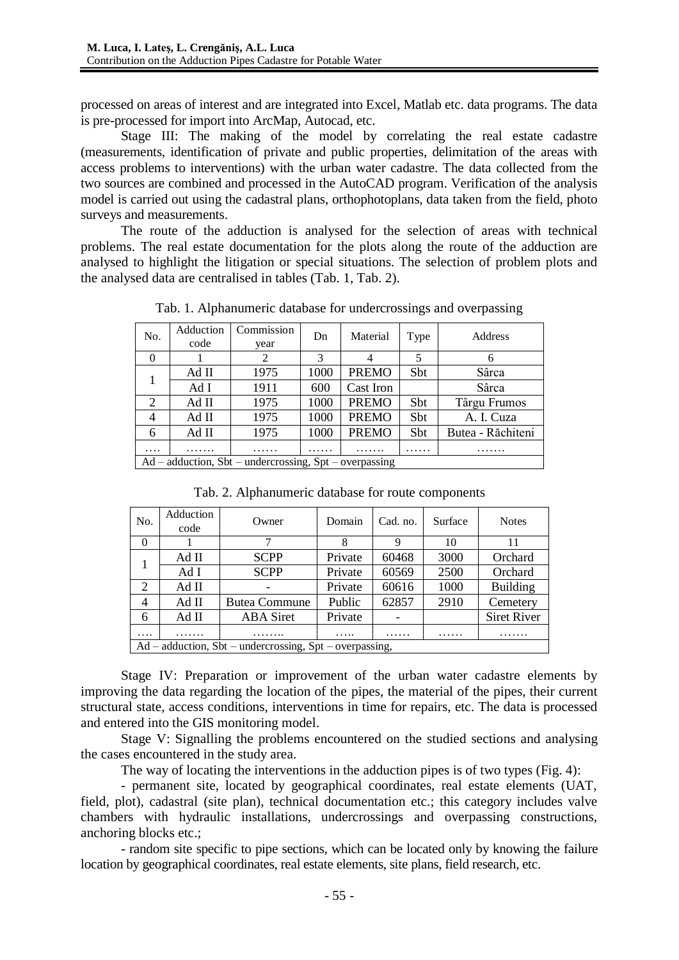processed on areas of interest and are integrated into Excel, Matlab etc. data programs. The data is pre-processed for import into ArcMap, Autocad, etc.

Stage III: The making of the model by correlating the real estate cadastre (measurements, identification of private and public properties, delimitation of the areas with access problems to interventions) with the urban water cadastre. The data collected from the two sources are combined and processed in the AutoCAD program. Verification of the analysis model is carried out using the cadastral plans, orthophotoplans, data taken from the field, photo surveys and measurements.

The route of the adduction is analysed for the selection of areas with technical problems. The real estate documentation for the plots along the route of the adduction are analysed to highlight the litigation or special situations. The selection of problem plots and the analysed data are centralised in tables (Tab. 1, Tab. 2).

| No.                                                      | Adduction | Commission | Dn   | Material            | Type | Address           |  |  |  |
|----------------------------------------------------------|-----------|------------|------|---------------------|------|-------------------|--|--|--|
|                                                          | code      | year       |      |                     |      |                   |  |  |  |
| 0                                                        |           | 2          | 3    |                     | 5    | 6                 |  |  |  |
|                                                          | Ad II     | 1975       | 1000 | <b>PREMO</b><br>Sbt |      | Sârca             |  |  |  |
|                                                          | Ad I      | 1911       | 600  | Cast Iron           |      | Sârca             |  |  |  |
| 2                                                        | Ad II     | 1975       | 1000 | <b>PREMO</b>        | Sbt  | Târgu Frumos      |  |  |  |
| 4                                                        | Ad II     | 1975       | 1000 | <b>PREMO</b>        | Sbt  | A. I. Cuza        |  |  |  |
| 6                                                        | Ad II     | 1975       | 1000 | <b>PREMO</b>        | Sbt  | Butea - Răchiteni |  |  |  |
| .                                                        |           |            |      |                     | .    | .                 |  |  |  |
| $Ad - addition$ , Sbt – undercrossing, Spt – overpassing |           |            |      |                     |      |                   |  |  |  |

Tab. 1. Alphanumeric database for undercrossings and overpassing

| No.                                                       | Adduction<br>code | Owner                | Domain  | Cad. no. | Surface | <b>Notes</b>       |  |  |  |  |
|-----------------------------------------------------------|-------------------|----------------------|---------|----------|---------|--------------------|--|--|--|--|
| $\Omega$                                                  |                   |                      | 8       | 9        | 10      | 11                 |  |  |  |  |
|                                                           | Ad II             | <b>SCPP</b>          | Private | 60468    | 3000    | Orchard            |  |  |  |  |
|                                                           | Ad I              | <b>SCPP</b>          | Private | 60569    | 2500    | Orchard            |  |  |  |  |
| 2                                                         | Ad II             |                      | Private | 60616    | 1000    | <b>Building</b>    |  |  |  |  |
| 4                                                         | Ad II             | <b>Butea Commune</b> | Public  | 62857    | 2910    | Cemetery           |  |  |  |  |
| 6                                                         | Ad II             | <b>ABA</b> Siret     | Private |          |         | <b>Siret River</b> |  |  |  |  |
|                                                           |                   |                      | .       | .        | .       |                    |  |  |  |  |
| $Ad - addition$ , Sbt – undercrossing, Spt – overpassing, |                   |                      |         |          |         |                    |  |  |  |  |

Tab. 2. Alphanumeric database for route components

Stage IV: Preparation or improvement of the urban water cadastre elements by improving the data regarding the location of the pipes, the material of the pipes, their current structural state, access conditions, interventions in time for repairs, etc. The data is processed and entered into the GIS monitoring model.

Stage V: Signalling the problems encountered on the studied sections and analysing the cases encountered in the study area.

The way of locating the interventions in the adduction pipes is of two types (Fig. 4):

- permanent site, located by geographical coordinates, real estate elements (UAT, field, plot), cadastral (site plan), technical documentation etc.; this category includes valve chambers with hydraulic installations, undercrossings and overpassing constructions, anchoring blocks etc.;

- random site specific to pipe sections, which can be located only by knowing the failure location by geographical coordinates, real estate elements, site plans, field research, etc.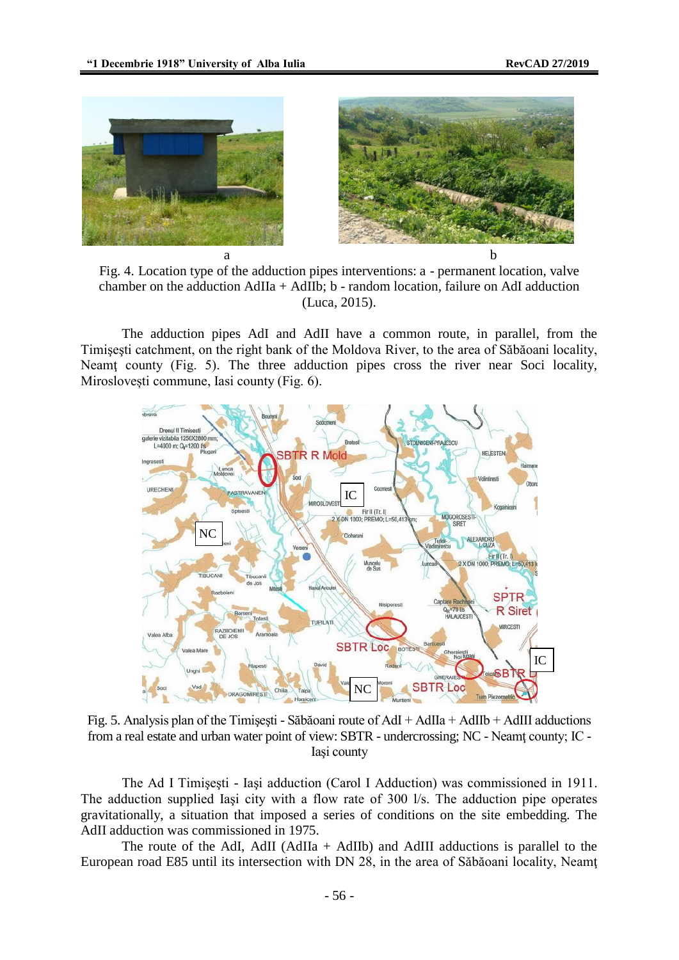

Fig. 4. Location type of the adduction pipes interventions: a - permanent location, valve chamber on the adduction AdIIa + AdIIb; b - random location, failure on AdI adduction (Luca, 2015).

The adduction pipes AdI and AdII have a common route, in parallel, from the Timişeşti catchment, on the right bank of the Moldova River, to the area of Săbăoani locality, Neamt county (Fig. 5). The three adduction pipes cross the river near Soci locality, Miroslovești commune, Iasi county (Fig. 6).



Fig. 5. Analysis plan of the Timişeşti - Săbăoani route of AdI + AdIIa + AdIIb + AdIII adductions from a real estate and urban water point of view: SBTR - undercrossing; NC - Neamţ county; IC - Iaşi county

The Ad I Timişeşti - Iaşi adduction (Carol I Adduction) was commissioned in 1911. The adduction supplied Iaşi city with a flow rate of 300 l/s. The adduction pipe operates gravitationally, a situation that imposed a series of conditions on the site embedding. The AdII adduction was commissioned in 1975.

The route of the AdI, AdII (AdIIa + AdIIb) and AdIII adductions is parallel to the European road E85 until its intersection with DN 28, in the area of Săbăoani locality, Neamţ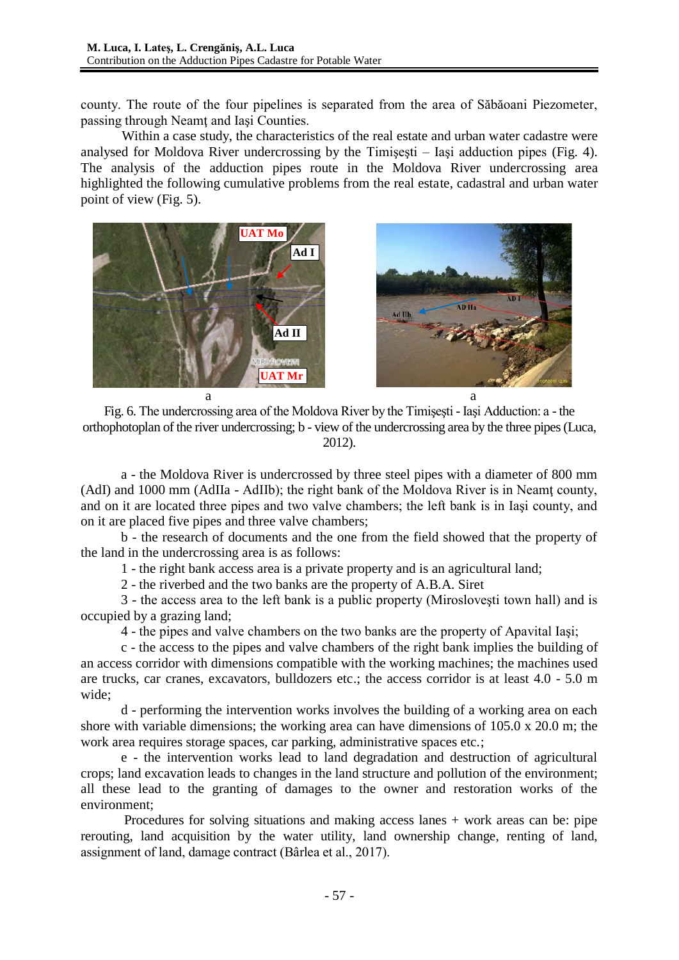county. The route of the four pipelines is separated from the area of Săbăoani Piezometer, passing through Neamt and Iasi Counties.

Within a case study, the characteristics of the real estate and urban water cadastre were analysed for Moldova River undercrossing by the Timişeşti – Iaşi adduction pipes (Fig. 4). The analysis of the adduction pipes route in the Moldova River undercrossing area highlighted the following cumulative problems from the real estate, cadastral and urban water point of view (Fig. 5).



Fig. 6. The undercrossing area of the Moldova River by the Timişeşti - Iaşi Adduction: a - the orthophotoplan of the river undercrossing; b - view of the undercrossing area by the three pipes (Luca, 2012).

a - the Moldova River is undercrossed by three steel pipes with a diameter of 800 mm (AdI) and 1000 mm (AdIIa - AdIIb); the right bank of the Moldova River is in Neamţ county, and on it are located three pipes and two valve chambers; the left bank is in Iaşi county, and on it are placed five pipes and three valve chambers;

b - the research of documents and the one from the field showed that the property of the land in the undercrossing area is as follows:

1 - the right bank access area is a private property and is an agricultural land;

2 - the riverbed and the two banks are the property of A.B.A. Siret

3 - the access area to the left bank is a public property (Mirosloveşti town hall) and is occupied by a grazing land;

4 - the pipes and valve chambers on the two banks are the property of Apavital Iaşi;

c - the access to the pipes and valve chambers of the right bank implies the building of an access corridor with dimensions compatible with the working machines; the machines used are trucks, car cranes, excavators, bulldozers etc.; the access corridor is at least 4.0 - 5.0 m wide;

d - performing the intervention works involves the building of a working area on each shore with variable dimensions; the working area can have dimensions of 105.0 x 20.0 m; the work area requires storage spaces, car parking, administrative spaces etc.;

e - the intervention works lead to land degradation and destruction of agricultural crops; land excavation leads to changes in the land structure and pollution of the environment; all these lead to the granting of damages to the owner and restoration works of the environment;

Procedures for solving situations and making access lanes + work areas can be: pipe rerouting, land acquisition by the water utility, land ownership change, renting of land, assignment of land, damage contract (Bârlea et al., 2017).